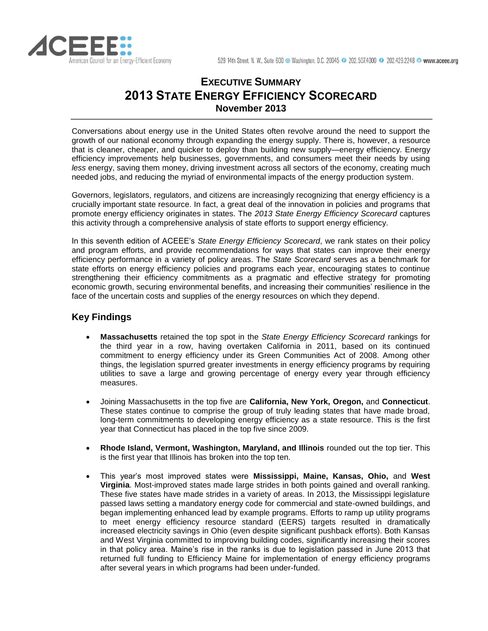

# **EXECUTIVE SUMMARY 2013 STATE ENERGY EFFICIENCY SCORECARD November 2013**

Conversations about energy use in the United States often revolve around the need to support the growth of our national economy through expanding the energy supply. There is, however, a resource that is cleaner, cheaper, and quicker to deploy than building new supply—energy efficiency. Energy efficiency improvements help businesses, governments, and consumers meet their needs by using *less* energy, saving them money, driving investment across all sectors of the economy, creating much needed jobs, and reducing the myriad of environmental impacts of the energy production system.

Governors, legislators, regulators, and citizens are increasingly recognizing that energy efficiency is a crucially important state resource. In fact, a great deal of the innovation in policies and programs that promote energy efficiency originates in states. The *2013 State Energy Efficiency Scorecard* captures this activity through a comprehensive analysis of state efforts to support energy efficiency.

In this seventh edition of ACEEE's *State Energy Efficiency Scorecard*, we rank states on their policy and program efforts, and provide recommendations for ways that states can improve their energy efficiency performance in a variety of policy areas. The *State Scorecard* serves as a benchmark for state efforts on energy efficiency policies and programs each year, encouraging states to continue strengthening their efficiency commitments as a pragmatic and effective strategy for promoting economic growth, securing environmental benefits, and increasing their communities' resilience in the face of the uncertain costs and supplies of the energy resources on which they depend.

# **Key Findings**

- **Massachusetts** retained the top spot in the *State Energy Efficiency Scorecard* rankings for the third year in a row, having overtaken California in 2011, based on its continued commitment to energy efficiency under its Green Communities Act of 2008. Among other things, the legislation spurred greater investments in energy efficiency programs by requiring utilities to save a large and growing percentage of energy every year through efficiency measures.
- Joining Massachusetts in the top five are **California, New York, Oregon,** and **Connecticut**. These states continue to comprise the group of truly leading states that have made broad, long-term commitments to developing energy efficiency as a state resource. This is the first year that Connecticut has placed in the top five since 2009.
- **Rhode Island, Vermont, Washington, Maryland, and Illinois** rounded out the top tier. This is the first year that Illinois has broken into the top ten.
- This year's most improved states were **Mississippi, Maine, Kansas, Ohio,** and **West Virginia**. Most-improved states made large strides in both points gained and overall ranking. These five states have made strides in a variety of areas. In 2013, the Mississippi legislature passed laws setting a mandatory energy code for commercial and state-owned buildings, and began implementing enhanced lead by example programs. Efforts to ramp up utility programs to meet energy efficiency resource standard (EERS) targets resulted in dramatically increased electricity savings in Ohio (even despite significant pushback efforts). Both Kansas and West Virginia committed to improving building codes, significantly increasing their scores in that policy area. Maine's rise in the ranks is due to legislation passed in June 2013 that returned full funding to Efficiency Maine for implementation of energy efficiency programs after several years in which programs had been under-funded.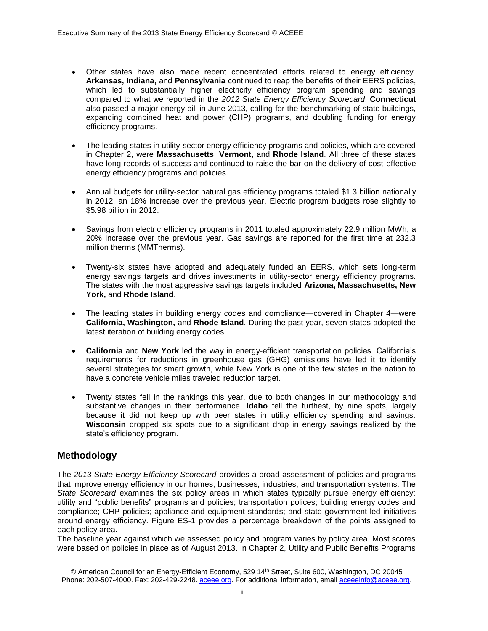- Other states have also made recent concentrated efforts related to energy efficiency. **Arkansas, Indiana,** and **Pennsylvania** continued to reap the benefits of their EERS policies, which led to substantially higher electricity efficiency program spending and savings compared to what we reported in the *2012 State Energy Efficiency Scorecard*. **Connecticut** also passed a major energy bill in June 2013, calling for the benchmarking of state buildings, expanding combined heat and power (CHP) programs, and doubling funding for energy efficiency programs.
- The leading states in utility-sector energy efficiency programs and policies, which are covered in Chapter 2, were **Massachusetts**, **Vermont**, and **Rhode Island**. All three of these states have long records of success and continued to raise the bar on the delivery of cost-effective energy efficiency programs and policies.
- Annual budgets for utility-sector natural gas efficiency programs totaled \$1.3 billion nationally in 2012, an 18% increase over the previous year. Electric program budgets rose slightly to \$5.98 billion in 2012.
- Savings from electric efficiency programs in 2011 totaled approximately 22.9 million MWh, a 20% increase over the previous year. Gas savings are reported for the first time at 232.3 million therms (MMTherms).
- Twenty-six states have adopted and adequately funded an EERS, which sets long-term energy savings targets and drives investments in utility-sector energy efficiency programs. The states with the most aggressive savings targets included **Arizona, Massachusetts, New York,** and **Rhode Island**.
- The leading states in building energy codes and compliance—covered in Chapter 4—were **California, Washington,** and **Rhode Island**. During the past year, seven states adopted the latest iteration of building energy codes.
- **California** and **New York** led the way in energy-efficient transportation policies. California's requirements for reductions in greenhouse gas (GHG) emissions have led it to identify several strategies for smart growth, while New York is one of the few states in the nation to have a concrete vehicle miles traveled reduction target.
- Twenty states fell in the rankings this year, due to both changes in our methodology and substantive changes in their performance. **Idaho** fell the furthest, by nine spots, largely because it did not keep up with peer states in utility efficiency spending and savings. **Wisconsin** dropped six spots due to a significant drop in energy savings realized by the state's efficiency program.

### **Methodology**

The *2013 State Energy Efficiency Scorecard* provides a broad assessment of policies and programs that improve energy efficiency in our homes, businesses, industries, and transportation systems. The *State Scorecard* examines the six policy areas in which states typically pursue energy efficiency: utility and "public benefits" programs and policies; transportation polices; building energy codes and compliance; CHP policies; appliance and equipment standards; and state government-led initiatives around energy efficiency. Figure ES-1 provides a percentage breakdown of the points assigned to each policy area.

The baseline year against which we assessed policy and program varies by policy area. Most scores were based on policies in place as of August 2013. In Chapter 2, Utility and Public Benefits Programs

© American Council for an Energy-Efficient Economy, 529 14th Street, Suite 600, Washington, DC 20045 Phone: 202-507-4000. Fax: 202-429-2248[. aceee.org.](http://www.aceee.org/) For additional information, email [aceeeinfo@aceee.org.](mailto:aceeeinfo@aceee.org)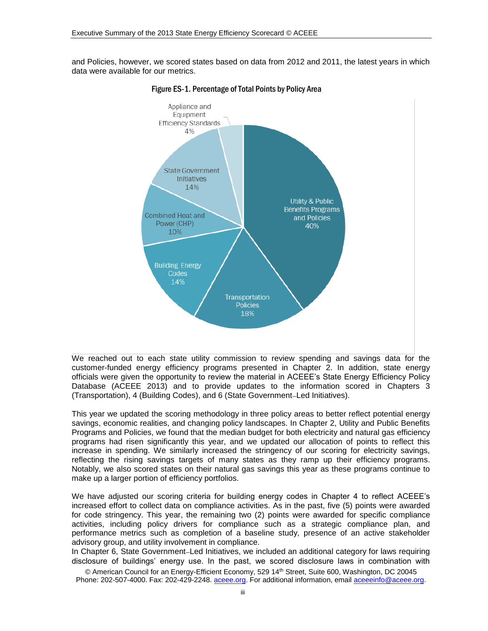and Policies, however, we scored states based on data from 2012 and 2011, the latest years in which data were available for our metrics.



Figure ES-1. Percentage of Total Points by Policy Area

We reached out to each state utility commission to review spending and savings data for the customer-funded energy efficiency programs presented in Chapter 2. In addition, state energy officials were given the opportunity to review the material in ACEEE's State Energy Efficiency Policy Database (ACEEE 2013) and to provide updates to the information scored in Chapters 3 (Transportation), 4 (Building Codes), and 6 (State Government–Led Initiatives).

This year we updated the scoring methodology in three policy areas to better reflect potential energy savings, economic realities, and changing policy landscapes. In Chapter 2, Utility and Public Benefits Programs and Policies, we found that the median budget for both electricity and natural gas efficiency programs had risen significantly this year, and we updated our allocation of points to reflect this increase in spending. We similarly increased the stringency of our scoring for electricity savings, reflecting the rising savings targets of many states as they ramp up their efficiency programs. Notably, we also scored states on their natural gas savings this year as these programs continue to make up a larger portion of efficiency portfolios.

We have adjusted our scoring criteria for building energy codes in Chapter 4 to reflect ACEEE's increased effort to collect data on compliance activities. As in the past, five (5) points were awarded for code stringency. This year, the remaining two (2) points were awarded for specific compliance activities, including policy drivers for compliance such as a strategic compliance plan, and performance metrics such as completion of a baseline study, presence of an active stakeholder advisory group, and utility involvement in compliance.

In Chapter 6, State Government–Led Initiatives, we included an additional category for laws requiring disclosure of buildings' energy use. In the past, we scored disclosure laws in combination with

© American Council for an Energy-Efficient Economy, 529 14th Street, Suite 600, Washington, DC 20045 Phone: 202-507-4000. Fax: 202-429-2248[. aceee.org.](http://www.aceee.org/) For additional information, email [aceeeinfo@aceee.org.](mailto:aceeeinfo@aceee.org)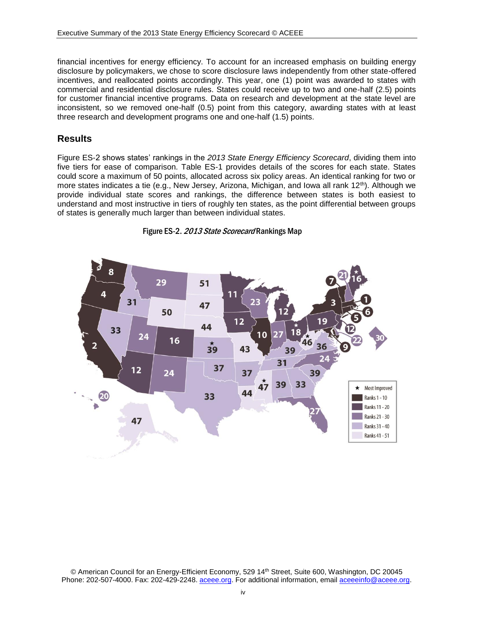financial incentives for energy efficiency. To account for an increased emphasis on building energy disclosure by policymakers, we chose to score disclosure laws independently from other state-offered incentives, and reallocated points accordingly. This year, one (1) point was awarded to states with commercial and residential disclosure rules. States could receive up to two and one-half (2.5) points for customer financial incentive programs. Data on research and development at the state level are inconsistent, so we removed one-half (0.5) point from this category, awarding states with at least three research and development programs one and one-half (1.5) points.

### **Results**

Figure ES-2 shows states' rankings in the *2013 State Energy Efficiency Scorecard*, dividing them into five tiers for ease of comparison. Table ES-1 provides details of the scores for each state. States could score a maximum of 50 points, allocated across six policy areas. An identical ranking for two or more states indicates a tie (e.g., New Jersey, Arizona, Michigan, and Iowa all rank 12<sup>th</sup>). Although we provide individual state scores and rankings, the difference between states is both easiest to understand and most instructive in tiers of roughly ten states, as the point differential between groups of states is generally much larger than between individual states.





<sup>©</sup> American Council for an Energy-Efficient Economy, 529 14<sup>th</sup> Street, Suite 600, Washington, DC 20045 Phone: 202-507-4000. Fax: 202-429-2248[. aceee.org.](http://www.aceee.org/) For additional information, email [aceeeinfo@aceee.org.](mailto:aceeeinfo@aceee.org)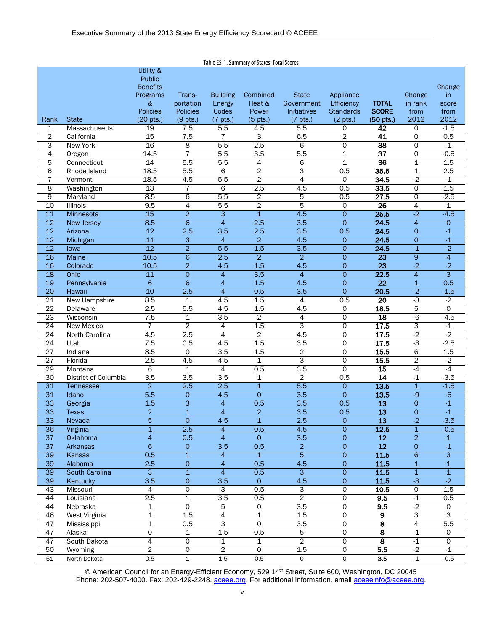| Table ES-1. Summary of States' Total Scores |                       |                 |                           |                          |                  |                          |                     |                         |                      |                     |
|---------------------------------------------|-----------------------|-----------------|---------------------------|--------------------------|------------------|--------------------------|---------------------|-------------------------|----------------------|---------------------|
|                                             |                       | Utility &       |                           |                          |                  |                          |                     |                         |                      |                     |
|                                             |                       | <b>Public</b>   |                           |                          |                  |                          |                     |                         |                      |                     |
|                                             |                       | <b>Benefits</b> |                           |                          |                  |                          |                     |                         |                      | Change              |
|                                             |                       | Programs        | Trans-                    | <b>Building</b>          | Combined         | <b>State</b>             | Appliance           |                         | Change               | in.                 |
|                                             |                       | &               | portation                 | Energy                   | Heat &           | Government               | Efficiency          | <b>TOTAL</b>            | in rank              | score               |
|                                             |                       | <b>Policies</b> | <b>Policies</b>           | Codes                    | Power            | <b>Initiatives</b>       | <b>Standards</b>    | <b>SCORE</b>            | from                 | from                |
| Rank                                        | <b>State</b>          | $(20$ pts.)     | $(9$ pts.)                | $(7$ pts.)               | $(5$ pts.)       | $(7$ pts.)               | $(2 \text{ pts.})$  | (50 pts.)               | 2012                 | 2012                |
| 1                                           | Massachusetts         | 19              | 7.5                       | 5.5                      | 4.5              | 5.5                      | 0                   | 42                      | 0                    | $-1.5$              |
| $\overline{2}$                              | California            | $\overline{15}$ | 7.5                       | $\overline{7}$           | 3                | 6.5                      | $\overline{2}$      | 41                      | 0                    | 0.5                 |
| З                                           | <b>New York</b>       | 16              | 8                         | 5.5                      | 2.5              | 6                        | 0                   | $\overline{38}$         | 0                    | $-1$                |
| 4                                           | Oregon                | 14.5            | 7                         | 5.5                      | 3.5              | 5.5                      | 1                   | $\overline{37}$         | 0                    | $-0.5$              |
| 5                                           | Connecticut           | 14              | 5.5                       | 5.5                      | 4                | 6                        | 1                   | $\overline{36}$         | 1                    | 1.5                 |
| 6                                           | Rhode Island          | 18.5            | 5.5                       | 6                        | $\overline{2}$   | 3                        | 0.5                 | 35.5                    | $\mathbf 1$          | 2.5                 |
| $\overline{7}$                              | Vermont               | 18.5            | 4.5                       | 5.5                      | $\overline{2}$   | 4                        | $\mathbf 0$         | 34.5                    | $-2$                 | $-1$                |
| 8                                           | Washington            | 13              | 7                         | 6                        | 2.5              | 4.5                      | $\overline{0.5}$    | 33.5                    | 0                    | 1.5                 |
| 9                                           | Maryland              | 8.5             | 6                         | 5.5                      | 2                | 5                        | 0.5                 | 27.5                    | 0                    | $-2.5$              |
| 10                                          | Illinois              | 9.5             | 4                         | 5.5                      | $\overline{2}$   | $\overline{5}$           | 0                   | 26                      | $\overline{4}$       | 1                   |
| 11                                          | Minnesota             | 15              | $\overline{2}$            | $\overline{3}$           | $\overline{1}$   | 4.5                      | 0                   | 25.5                    | $-2$                 | $-4.5$              |
| $\overline{12}$                             | New Jersey            | 8.5             | 6                         | $\overline{4}$           | $\overline{2.5}$ | 3.5                      | $\overline{O}$      | 24.5                    | $\overline{4}$       | $\mathsf{O}\xspace$ |
| $\overline{12}$                             | Arizona               | $\overline{12}$ | 2.5                       | 3.5                      | 2.5              | 3.5                      | 0.5                 | 24.5                    | $\overline{O}$       | $-1$                |
| 12                                          | Michigan              | 11              | $\overline{3}$            | 4                        | $\overline{2}$   | 4.5                      | $\circ$             | 24.5                    | $\circ$              | $-1$                |
| 12                                          | lowa                  | $\overline{12}$ | $\overline{2}$            | 5.5                      | 1.5              | 3.5                      | $\overline{0}$      | 24.5                    | $-1$                 | $-2$                |
| 16                                          | Maine                 | 10.5            | $\overline{6}$            | 2.5                      | $\overline{2}$   | $\overline{2}$           | $\overline{O}$      | $\overline{23}$         | $\mathsf 9$          | $\overline{4}$      |
| 16                                          | Colorado              | 10.5            | $\overline{a}$            | 4.5                      | 1.5              | 4.5                      | $\overline{O}$      | $\overline{23}$         | $\overline{2}$       | $-2$                |
| 18                                          | Ohio                  | $\overline{11}$ | $\mathsf{O}\xspace$       | 4                        | 3.5              | $\overline{4}$           | $\mathsf{O}\xspace$ | 22.5                    | $\overline{4}$       | $\overline{3}$      |
| 19                                          | Pennsylvania          | 6               | $\overline{6}$            | 4                        | 1.5              | 4.5                      | $\circ$             | $\overline{22}$         | 1                    | 0.5                 |
| 20                                          | Hawaii                | 10              | 2.5                       | $\overline{4}$           | 0.5              | 3.5                      | $\overline{0}$      | 20.5                    | $-2$                 | $-1.5$              |
| $\overline{21}$                             | <b>New Hampshire</b>  | 8.5             | 1                         | 4.5                      | 1.5              | 4                        | 0.5                 | $\overline{20}$         | $\overline{\cdot 3}$ | $-2$                |
| $\overline{22}$                             | Delaware              | 2.5             | 5.5                       | 4.5                      | 1.5              | 4.5                      | $\mathbf 0$         | 18.5                    | 5                    | $\overline{0}$      |
| 23                                          | Wisconsin             | 7.5             | 1                         | 3.5                      | $\overline{c}$   | $\overline{\mathcal{A}}$ | 0                   | $\overline{18}$         | $-6$                 | $-4.5$              |
| $\overline{24}$                             | New Mexico            | 7               | $\overline{2}$            | 4                        | 1.5              | 3                        | 0                   | 17.5                    | 3                    | $-1$                |
| 24                                          | North Carolina        | 4.5             | 2.5                       | 4                        | $\overline{2}$   | 4.5                      | 0                   | 17.5                    | $-2$                 | $-2$                |
| 24                                          | Utah                  | 7.5             | 0.5                       | 4.5                      | 1.5              | 3.5                      | 0                   | 17.5                    | $-3$                 | $-2.5$              |
| 27                                          | Indiana               | 8.5             | $\mathbf 0$               | 3.5                      | 1.5              | $\overline{2}$           | $\mathsf{O}$        | 15.5                    | 6                    | 1.5                 |
| 27                                          | Florida               | 2.5             | 4.5                       | 4.5                      | 1                | 3                        | 0                   | 15.5                    | $\overline{c}$       | $-2$                |
| 29                                          | Montana               | 6               | 1                         | 4                        | 0.5              | 3.5                      | $\overline{0}$      | 15                      | -4                   | $-4$                |
| 30                                          | District of Columbia  | 3.5             | 3.5                       | 3.5                      | 1                | $\overline{2}$           | 0.5                 | 14                      | $-1$                 | $-3.5$              |
| 31                                          | Tennessee             | $\overline{a}$  | 2.5                       | 2.5                      | $\mathbf{1}$     | 5.5                      | 0                   | 13.5                    | $\mathbf{1}$         | $-1.5$              |
| 31                                          | Idaho                 | 5.5             | $\mathbf 0$               | 4.5                      | $\overline{O}$   | 3.5                      | $\overline{O}$      | 13.5                    | -9                   | $-6$                |
| $\overline{33}$                             | Georgia               | 1.5             | $\overline{\overline{3}}$ | $\overline{\mathcal{A}}$ | 0.5              | 3.5                      | 0.5                 | $\overline{13}$         | $\mathsf O$          | $-1$                |
| $\overline{33}$                             | <b>Texas</b>          | $\overline{2}$  | $\overline{1}$            | $\overline{4}$           | $\overline{2}$   | 3.5                      | 0.5                 | $\overline{13}$         | $\overline{0}$       | $-1$                |
| 33                                          | Nevada                | $\overline{5}$  | $\circ$                   | 4.5                      | $\mathbf{1}$     | 2.5                      | $\circ$             | $\overline{13}$         | $-2$                 | $-3.5$              |
| 36                                          | Virginia              | $\mathbf{1}$    | 2.5                       | 4                        | 0.5              | 4.5                      | 0                   | 12.5                    | $\mathbf{1}$         | $-0.5$              |
| 37                                          | Oklahoma              | $\overline{4}$  | 0.5                       | $\overline{4}$           | $\overline{0}$   | 3.5                      | $\overline{0}$      | 12                      | $\overline{2}$       | $\mathbf{1}$        |
| 37                                          | <b>Arkansas</b>       | $\overline{6}$  | $\circ$                   | 3.5                      | 0.5              | $\overline{2}$           | $\overline{0}$      | $\overline{12}$         | $\overline{0}$       | $-1$                |
| 39                                          |                       | 0.5             |                           |                          | $\mathbf{1}$     | $\overline{5}$           | $\overline{0}$      |                         |                      | $\overline{3}$      |
|                                             | Kansas                |                 | $\mathbf{1}$              | 4                        |                  |                          |                     | 11.5                    | 6                    |                     |
| 39                                          | Alabama               | 2.5             | $\overline{0}$            | 4                        | 0.5              | 4.5                      | $\overline{0}$      | 11.5                    | $\mathbf{1}$         | $\overline{1}$      |
| 39                                          | <b>South Carolina</b> | 3               | $\mathbf{1}$              | $\overline{4}$           | 0.5              | 3                        | $\overline{0}$      | 11.5                    | $\mathbf{1}$         | $\overline{1}$      |
| 39                                          | Kentucky              | 3.5             | $\mathsf{O}\xspace$       | 3.5                      | $\overline{0}$   | 4.5                      | $\mathsf{O}\xspace$ | 11.5                    | $-3$                 | $-2$                |
| 43                                          | Missouri              | 4               | $\overline{0}$            | $\overline{3}$           | 0.5              | 3                        | $\overline{0}$      | 10.5                    | $\mathsf O$          | 1.5                 |
| 44                                          | Louisiana             | 2.5             | 1                         | $\overline{3.5}$         | 0.5              | $\overline{2}$           | $\overline{0}$      | 9.5                     | $-1$                 | 0.5                 |
| 44                                          | Nebraska              | 1               | $\overline{0}$            | 5                        | 0                | 3.5                      | $\overline{0}$      | 9.5                     | $-2$                 | 0                   |
| 46                                          | <b>West Virginia</b>  | 1               | 1.5                       | 4                        | 1                | 1.5                      | 0                   | $\overline{9}$          | 3                    | 3                   |
| 47                                          | Mississippi           | 1               | 0.5                       | 3                        | $\overline{0}$   | 3.5                      | $\overline{0}$      | 8                       | $\overline{4}$       | 5.5                 |
| 47                                          | Alaska                | $\overline{0}$  | 1                         | 1.5                      | 0.5              | 5                        | $\overline{0}$      | $\overline{\mathbf{8}}$ | $-1$                 | $\overline{0}$      |
| 47                                          | South Dakota          | 4               | 0                         | 1                        | 1                | 2                        | $\overline{0}$      | 8                       | $-1$                 | 0                   |
| 50                                          | Wyoming               | $\overline{2}$  | $\overline{0}$            | $\overline{2}$           | 0                | 1.5                      | $\overline{0}$      | 5.5                     | $-2$                 | $-1$                |
| 51                                          | North Dakota          | 0.5             | $\mathbf 1$               | 1.5                      | 0.5              | 0                        | 0                   | 3.5                     | $\text{-}1$          | $-0.5$              |

© American Council for an Energy-Efficient Economy, 529 14th Street, Suite 600, Washington, DC 20045 Phone: 202-507-4000. Fax: 202-429-2248[. aceee.org.](http://www.aceee.org/) For additional information, email [aceeeinfo@aceee.org.](mailto:aceeeinfo@aceee.org)